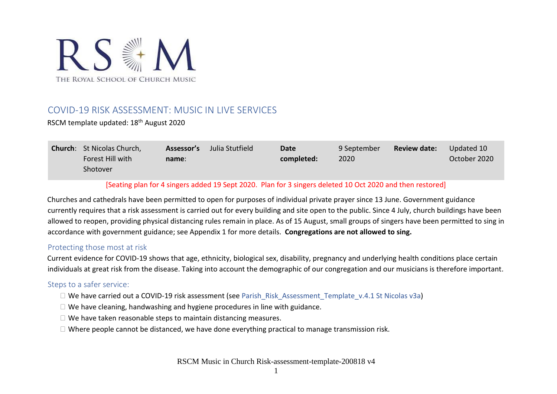

# COVID-19 RISK ASSESSMENT: MUSIC IN LIVE SERVICES

RSCM template updated: 18th August 2020

| <b>Church:</b> St Nicolas Church, | Assessor's | Julia Stutfield | <b>Date</b> | <b>9 September</b> | <b>Review date:</b> | Updated 10   |
|-----------------------------------|------------|-----------------|-------------|--------------------|---------------------|--------------|
| Forest Hill with                  | name:      |                 | completed:  | 2020               |                     | October 2020 |
| Shotover                          |            |                 |             |                    |                     |              |

### [Seating plan for 4 singers added 19 Sept 2020. Plan for 3 singers deleted 10 Oct 2020 and then restored]

Churches and cathedrals have been permitted to open for purposes of individual private prayer since 13 June. Government guidance currently requires that a risk assessment is carried out for every building and site open to the public. Since 4 July, church buildings have been allowed to reopen, providing physical distancing rules remain in place. As of 15 August, small groups of singers have been permitted to sing in accordance with government guidance; see Appendix 1 for more details. **Congregations are not allowed to sing.**

#### Protecting those most at risk

Current evidence for COVID-19 shows that age, ethnicity, biological sex, disability, pregnancy and underlying health conditions place certain individuals at great risk from the disease. Taking into account the demographic of our congregation and our musicians is therefore important.

### Steps to a safer service:

- $\Box$  We have carried out a COVID-19 risk assessment (see Parish Risk Assessment Template v.4.1 St Nicolas v3a)
- $\Box$  We have cleaning, handwashing and hygiene procedures in line with guidance.
- $\Box$  We have taken reasonable steps to maintain distancing measures.
- $\Box$  Where people cannot be distanced, we have done everything practical to manage transmission risk.

RSCM Music in Church Risk-assessment-template-200818 v4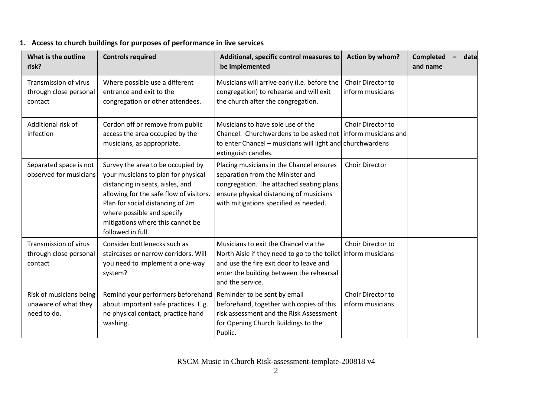## **1. Access to church buildings for purposes of performance in live services**

| What is the outline<br>risk?                                   | <b>Controls required</b>                                                                                                                                                                                                                                                           | Additional, specific control measures to<br>be implemented                                                                                                                                                        | Action by whom?                       | <b>Completed</b><br>date<br>and name |
|----------------------------------------------------------------|------------------------------------------------------------------------------------------------------------------------------------------------------------------------------------------------------------------------------------------------------------------------------------|-------------------------------------------------------------------------------------------------------------------------------------------------------------------------------------------------------------------|---------------------------------------|--------------------------------------|
| Transmission of virus<br>through close personal<br>contact     | Where possible use a different<br>entrance and exit to the<br>congregation or other attendees.                                                                                                                                                                                     | Musicians will arrive early (i.e. before the<br>congregation) to rehearse and will exit<br>the church after the congregation.                                                                                     | Choir Director to<br>inform musicians |                                      |
| Additional risk of<br>infection                                | Cordon off or remove from public<br>access the area occupied by the<br>musicians, as appropriate.                                                                                                                                                                                  | Musicians to have sole use of the<br>Chancel. Churchwardens to be asked not inform musicians and<br>to enter Chancel – musicians will light and churchwardens<br>extinguish candles.                              | Choir Director to                     |                                      |
| Separated space is not<br>observed for musicians               | Survey the area to be occupied by<br>your musicians to plan for physical<br>distancing in seats, aisles, and<br>allowing for the safe flow of visitors.<br>Plan for social distancing of 2m<br>where possible and specify<br>mitigations where this cannot be<br>followed in full. | Placing musicians in the Chancel ensures<br>separation from the Minister and<br>congregation. The attached seating plans<br>ensure physical distancing of musicians<br>with mitigations specified as needed.      | <b>Choir Director</b>                 |                                      |
| Transmission of virus<br>through close personal<br>contact     | Consider bottlenecks such as<br>staircases or narrow corridors. Will<br>you need to implement a one-way<br>system?                                                                                                                                                                 | Musicians to exit the Chancel via the<br>North Aisle if they need to go to the toilet inform musicians<br>and use the fire exit door to leave and<br>enter the building between the rehearsal<br>and the service. | Choir Director to                     |                                      |
| Risk of musicians being<br>unaware of what they<br>need to do. | Remind your performers beforehand Reminder to be sent by email<br>about important safe practices. E.g.<br>no physical contact, practice hand<br>washing.                                                                                                                           | beforehand, together with copies of this<br>risk assessment and the Risk Assessment<br>for Opening Church Buildings to the<br>Public.                                                                             | Choir Director to<br>inform musicians |                                      |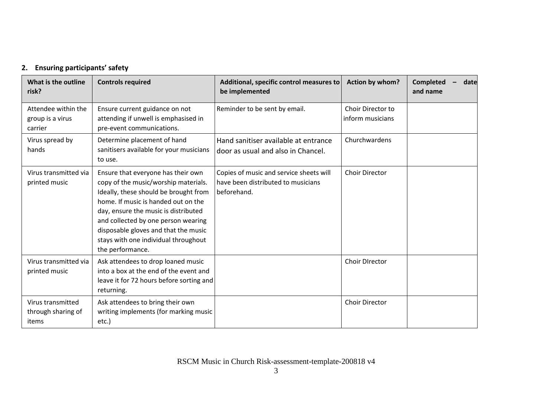# **2. Ensuring participants' safety**

| What is the outline<br>risk?                       | <b>Controls required</b>                                                                                                                                                                                                                                                                                                                      | Additional, specific control measures to<br>be implemented                                   | Action by whom?                       | <b>Completed</b><br>date<br>and name |
|----------------------------------------------------|-----------------------------------------------------------------------------------------------------------------------------------------------------------------------------------------------------------------------------------------------------------------------------------------------------------------------------------------------|----------------------------------------------------------------------------------------------|---------------------------------------|--------------------------------------|
| Attendee within the<br>group is a virus<br>carrier | Ensure current guidance on not<br>attending if unwell is emphasised in<br>pre-event communications.                                                                                                                                                                                                                                           | Reminder to be sent by email.                                                                | Choir Director to<br>inform musicians |                                      |
| Virus spread by<br>hands                           | Determine placement of hand<br>sanitisers available for your musicians<br>to use.                                                                                                                                                                                                                                                             | Hand sanitiser available at entrance<br>door as usual and also in Chancel.                   | Churchwardens                         |                                      |
| Virus transmitted via<br>printed music             | Ensure that everyone has their own<br>copy of the music/worship materials.<br>Ideally, these should be brought from<br>home. If music is handed out on the<br>day, ensure the music is distributed<br>and collected by one person wearing<br>disposable gloves and that the music<br>stays with one individual throughout<br>the performance. | Copies of music and service sheets will<br>have been distributed to musicians<br>beforehand. | Choir Director                        |                                      |
| Virus transmitted via<br>printed music             | Ask attendees to drop loaned music<br>into a box at the end of the event and<br>leave it for 72 hours before sorting and<br>returning.                                                                                                                                                                                                        |                                                                                              | Choir DIrector                        |                                      |
| Virus transmitted<br>through sharing of<br>items   | Ask attendees to bring their own<br>writing implements (for marking music<br>etc.)                                                                                                                                                                                                                                                            |                                                                                              | <b>Choir Director</b>                 |                                      |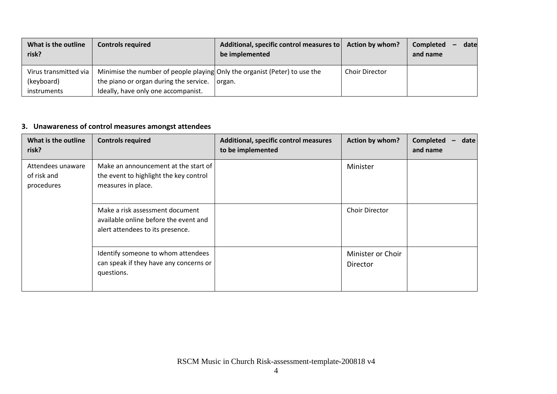| What is the outline<br>risk? | <b>Controls required</b>                                                   | Additional, specific control measures to<br>be implemented | <b>Action by whom?</b> | date<br>Completed<br>and name |
|------------------------------|----------------------------------------------------------------------------|------------------------------------------------------------|------------------------|-------------------------------|
| Virus transmitted via        | Minimise the number of people playing Only the organist (Peter) to use the |                                                            | <b>Choir Director</b>  |                               |
| (keyboard)                   | the piano or organ during the service.                                     | organ.                                                     |                        |                               |
| instruments                  | Ideally, have only one accompanist.                                        |                                                            |                        |                               |

# **3. Unawareness of control measures amongst attendees**

| What is the outline<br>risk?                   | <b>Controls required</b>                                                                                     | Additional, specific control measures<br>to be implemented | Action by whom?               | <b>Completed</b><br>date<br>and name |
|------------------------------------------------|--------------------------------------------------------------------------------------------------------------|------------------------------------------------------------|-------------------------------|--------------------------------------|
| Attendees unaware<br>of risk and<br>procedures | Make an announcement at the start of<br>the event to highlight the key control<br>measures in place.         |                                                            | Minister                      |                                      |
|                                                | Make a risk assessment document<br>available online before the event and<br>alert attendees to its presence. |                                                            | <b>Choir Director</b>         |                                      |
|                                                | Identify someone to whom attendees<br>can speak if they have any concerns or<br>questions.                   |                                                            | Minister or Choir<br>Director |                                      |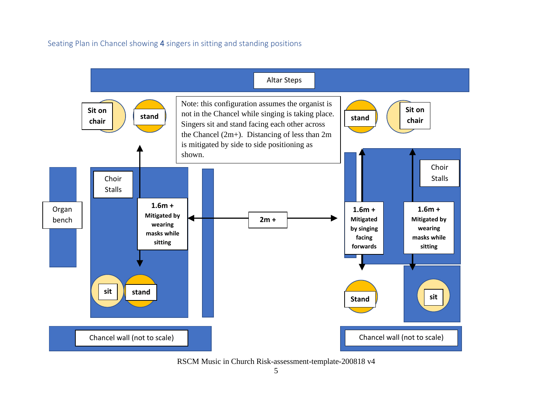Seating Plan in Chancel showing 4 singers in sitting and standing positions



RSCM Music in Church Risk-assessment-template-200818 v4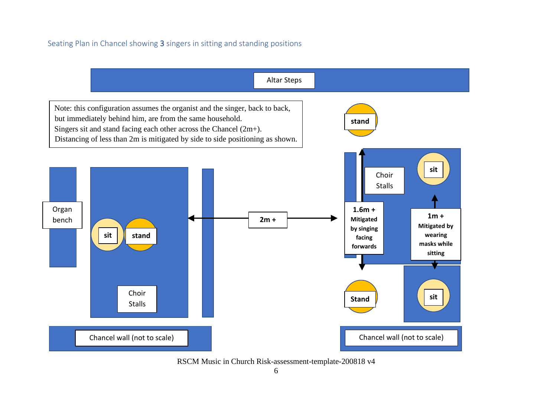### Seating Plan in Chancel showing 3 singers in sitting and standing positions

Altar Steps Organ  $\begin{array}{|c|c|c|c|c|}\n\hline\n\text{.} & \text{.} & \text{.} & \text{.} & \text{.} & \text{.} & \text{.} & \text{.} & \text{.} & \text{.} & \text{.} & \text{.} & \text{.} & \text{.} & \text{.} & \text{.} & \text{.} & \text{.} & \text{.} & \text{.} & \text{.} & \text{.} & \text{.} & \text{.} & \text{.} & \text{.} & \text{.} & \text{.} & \text{.} & \text{.} & \text{.} & \text{.} & \text{.} &$ **Mitigated by wearing masks while sitting 1.6m + Mitigated by singing facing forwards** Choir Stalls Choir Stalls **sit sit sit** Chancel wall (not to scale) Chancel wall (not to scale) **stand Stand stand** Note: this configuration assumes the organist and the singer, back to back, but immediately behind him, are from the same household. Singers sit and stand facing each other across the Chancel (2m+). Distancing of less than 2m is mitigated by side to side positioning as shown.

RSCM Music in Church Risk-assessment-template-200818 v4